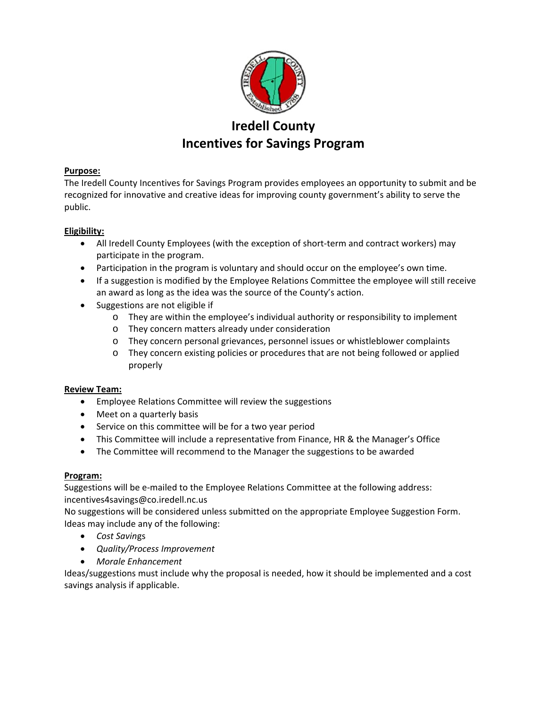

# **Iredell County Incentives for Savings Program**

# **Purpose:**

The Iredell County Incentives for Savings Program provides employees an opportunity to submit and be recognized for innovative and creative ideas for improving county government's ability to serve the public.

## **Eligibility:**

- All Iredell County Employees (with the exception of short‐term and contract workers) may participate in the program.
- Participation in the program is voluntary and should occur on the employee's own time.
- If a suggestion is modified by the Employee Relations Committee the employee will still receive an award as long as the idea was the source of the County's action.
- Suggestions are not eligible if
	- o They are within the employee's individual authority or responsibility to implement
	- o They concern matters already under consideration
	- o They concern personal grievances, personnel issues or whistleblower complaints
	- o They concern existing policies or procedures that are not being followed or applied properly

#### **Review Team:**

- Employee Relations Committee will review the suggestions
- Meet on a quarterly basis
- Service on this committee will be for a two year period
- This Committee will include a representative from Finance, HR & the Manager's Office
- The Committee will recommend to the Manager the suggestions to be awarded

#### **Program:**

Suggestions will be e-mailed to the Employee Relations Committee at the following address: incentives4savings@co.iredell.nc.us

No suggestions will be considered unless submitted on the appropriate Employee Suggestion Form. Ideas may include any of the following:

- *Cost Savin*gs
- *Quality/Process Improvement*
- *Morale Enhancement*

Ideas/suggestions must include why the proposal is needed, how it should be implemented and a cost savings analysis if applicable.